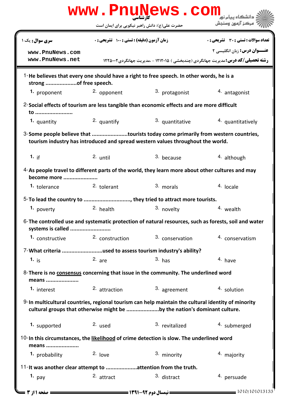|                                                                                                                                                                                 |                                                            | www.PnuNews.com |                                                                                                                                      |  |  |  |
|---------------------------------------------------------------------------------------------------------------------------------------------------------------------------------|------------------------------------------------------------|-----------------|--------------------------------------------------------------------------------------------------------------------------------------|--|--|--|
|                                                                                                                                                                                 | حضرت علی(ع): دانش راهبر نیکویی برای ایمان است              |                 | ' مرڪز آزمون وسنڊش                                                                                                                   |  |  |  |
| سری سوال: یک ۱                                                                                                                                                                  | زمان آزمون (دقیقه) : تستی : 100 تشریحی : 0                 |                 | <b>تعداد سوالات : تستي : 30 ٪ تشريحي : 0</b>                                                                                         |  |  |  |
| www.PnuNews.com<br>www.PnuNews.net                                                                                                                                              |                                                            |                 | <b>عنـــوان درس:</b> زبان انگلیسی ۲<br><b>رشته تحصیلی/کد درس: م</b> دیریت جهانگردی (چندبخشی ) ۱۲۱۲۰۱۵ - ،مدیریت جهانگردی200۲ ۱۲۲۵۰۰۲ |  |  |  |
| 1-He believes that every one should have a right to free speech. In other words, he is a<br>strong of free speech.                                                              |                                                            |                 |                                                                                                                                      |  |  |  |
| 1. proponent                                                                                                                                                                    | 2. opponent                                                | 3. protagonist  | 4. antagonist                                                                                                                        |  |  |  |
| 2-Social effects of tourism are less tangible than economic effects and are more difficult<br>to                                                                                |                                                            |                 |                                                                                                                                      |  |  |  |
| 1. quantity                                                                                                                                                                     | 2. quantify                                                | 3. quantitative | 4. quantitatively                                                                                                                    |  |  |  |
| 3-Some people believe that tourists today come primarily from western countries,<br>tourism industry has introduced and spread western values throughout the world.             |                                                            |                 |                                                                                                                                      |  |  |  |
| 1. if                                                                                                                                                                           | 2. until                                                   | 3. because      | 4. although                                                                                                                          |  |  |  |
| 4-As people travel to different parts of the world, they learn more about other cultures and may<br>become more                                                                 |                                                            |                 |                                                                                                                                      |  |  |  |
| <sup>1.</sup> tolerance                                                                                                                                                         | 2. tolerant                                                | 3. morals       | 4. locale                                                                                                                            |  |  |  |
| 5-To lead the country to , they tried to attract more tourists.                                                                                                                 |                                                            |                 |                                                                                                                                      |  |  |  |
| 1. poverty                                                                                                                                                                      | 2. health                                                  | 3. novelty      | 4. wealth                                                                                                                            |  |  |  |
| 6-The controlled use and systematic protection of natural resources, such as forests, soil and water<br>systems is called                                                       |                                                            |                 |                                                                                                                                      |  |  |  |
| 1. constructive                                                                                                                                                                 | 2. construction                                            | 3. conservation | 4. conservatism                                                                                                                      |  |  |  |
|                                                                                                                                                                                 | 7-What criteria used to assess tourism industry's ability? |                 |                                                                                                                                      |  |  |  |
| 1. $i_S$                                                                                                                                                                        | $2.$ are                                                   | $3.$ has        | 4. have                                                                                                                              |  |  |  |
| 8- There is no consensus concerning that issue in the community. The underlined word<br>means                                                                                   |                                                            |                 |                                                                                                                                      |  |  |  |
| 1. interest                                                                                                                                                                     | 2. attraction                                              | 3. agreement    | 4. solution                                                                                                                          |  |  |  |
| 9-In multicultural countries, regional tourism can help maintain the cultural identity of minority<br>cultural groups that otherwise might be by the nation's dominant culture. |                                                            |                 |                                                                                                                                      |  |  |  |
| 1. supported                                                                                                                                                                    | 2. used                                                    | 3. revitalized  | 4. submerged                                                                                                                         |  |  |  |
| 10-In this circumstances, the likelihood of crime detection is slow. The underlined word<br>means                                                                               |                                                            |                 |                                                                                                                                      |  |  |  |
| 1. probability                                                                                                                                                                  | $2.$ love                                                  | 3. minority     | 4. majority                                                                                                                          |  |  |  |
| 11- It was another clear attempt to attention from the truth.                                                                                                                   |                                                            |                 |                                                                                                                                      |  |  |  |
| 1. $pay$                                                                                                                                                                        | 2. attract                                                 | 3. distract     | 4. persuade                                                                                                                          |  |  |  |
| صفحه 1 از 3                                                                                                                                                                     |                                                            |                 | 1010/101013133                                                                                                                       |  |  |  |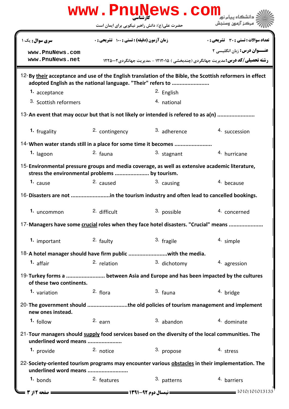|                                                                                                                                                  |                                                   | www.PnuNews.com       |                                                                                                          |  |  |  |
|--------------------------------------------------------------------------------------------------------------------------------------------------|---------------------------------------------------|-----------------------|----------------------------------------------------------------------------------------------------------|--|--|--|
|                                                                                                                                                  | حضرت علی(ع): دانش راهبر نیکویی برای ایمان است     |                       | مركز آزمون وسنجش                                                                                         |  |  |  |
| <b>سری سوال :</b> یک ۱                                                                                                                           | <b>زمان آزمون (دقیقه) : تستی : ۱۰۰ تشریحی : 0</b> |                       | <b>تعداد سوالات : تستی : 30 ٪ تشریحی : 0</b>                                                             |  |  |  |
| www.PnuNews.com                                                                                                                                  |                                                   |                       | <b>عنـــوان درس:</b> زبان انگلیسی ۲                                                                      |  |  |  |
| www.PnuNews.net                                                                                                                                  |                                                   |                       | <b>رشته تحصیلی/کد درس:</b> مدیریت جهانگردی (چندبخشی ) ۱۲۱۲۰۱۵ - ،مدیریت جهانگردی۱۲۲۵۰۰۲                  |  |  |  |
| adopted English as the national language. "Their" refers to                                                                                      |                                                   |                       | 12-By their acceptance and use of the English translation of the Bible, the Scottish reformers in effect |  |  |  |
| 1. acceptance                                                                                                                                    |                                                   | <sup>2.</sup> English |                                                                                                          |  |  |  |
| 3. Scottish reformers                                                                                                                            |                                                   | 4. national           |                                                                                                          |  |  |  |
| 13-An event that may occur but that is not likely or intended is refered to as a(n)                                                              |                                                   |                       |                                                                                                          |  |  |  |
| 1. frugality                                                                                                                                     | 2. contingency                                    | 3. adherence          | 4. succession                                                                                            |  |  |  |
| 14-When water stands still in a place for some time it becomes                                                                                   |                                                   |                       |                                                                                                          |  |  |  |
| 1. lagoon                                                                                                                                        | 2. fauna                                          | 3. stagnant           | 4. hurricane                                                                                             |  |  |  |
| 15-Environmental pressure groups and media coverage, as well as extensive academic literature,<br>stress the environmental problems  by tourism. |                                                   |                       |                                                                                                          |  |  |  |
| 1. cause                                                                                                                                         | 2. caused                                         | 3. causing            | 4. because                                                                                               |  |  |  |
| 16-Disasters are not in the tourism industry and often lead to cancelled bookings.                                                               |                                                   |                       |                                                                                                          |  |  |  |
| 1. uncommon                                                                                                                                      | <sup>2.</sup> difficult                           | 3. possible           | 4. concerned                                                                                             |  |  |  |
| 17-Managers have some crucial roles when they face hotel disasters. "Crucial" means                                                              |                                                   |                       |                                                                                                          |  |  |  |
| 1. important                                                                                                                                     | 2. faulty                                         | 3. fragile            | 4. simple                                                                                                |  |  |  |
|                                                                                                                                                  |                                                   |                       |                                                                                                          |  |  |  |
| 1. affair                                                                                                                                        | 2. relation                                       | 3. dichotomy          | 4. agression                                                                                             |  |  |  |
| 19-Turkey forms a  between Asia and Europe and has been impacted by the cultures<br>of these two continents.                                     |                                                   |                       |                                                                                                          |  |  |  |
| 1. variation                                                                                                                                     | 2. flora                                          | $3.$ fauna            | 4. bridge                                                                                                |  |  |  |
| 20- The government should the old policies of tourism management and implement<br>new ones instead.                                              |                                                   |                       |                                                                                                          |  |  |  |
| $1.$ follow                                                                                                                                      | $2.$ earn                                         | $3.$ abandon          | 4. dominate                                                                                              |  |  |  |
| 21-Tour managers should supply food services based on the diversity of the local communities. The<br>underlined word means                       |                                                   |                       |                                                                                                          |  |  |  |
| 1. provide                                                                                                                                       | <sup>2.</sup> notice                              | 3. propose            | 4. stress                                                                                                |  |  |  |
| 22-Society-oriented tourism programs may encounter various obstacles in their implementation. The<br>underlined word means                       |                                                   |                       |                                                                                                          |  |  |  |
| 1. bonds                                                                                                                                         | <sup>2.</sup> features                            | 3. patterns           | 4. barriers                                                                                              |  |  |  |
| <b>: صفحه 12; 3</b>                                                                                                                              |                                                   |                       | $=$ 1010/101013133                                                                                       |  |  |  |